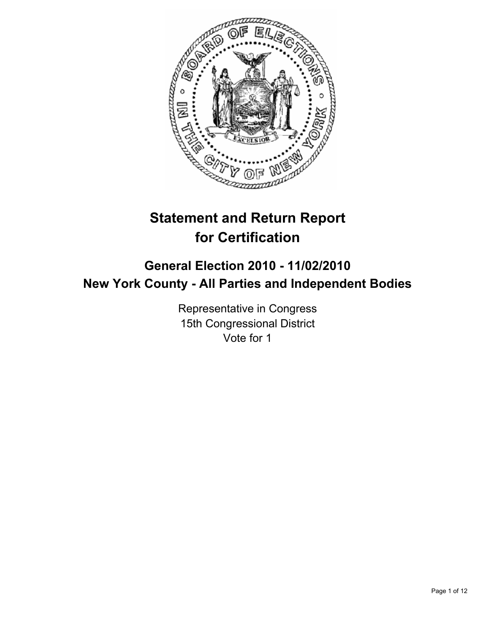

# **Statement and Return Report for Certification**

## **General Election 2010 - 11/02/2010 New York County - All Parties and Independent Bodies**

Representative in Congress 15th Congressional District Vote for 1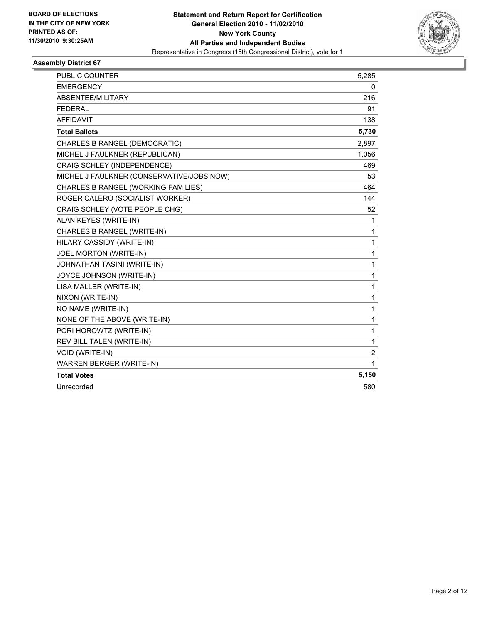

| PUBLIC COUNTER                            | 5,285          |
|-------------------------------------------|----------------|
| <b>EMERGENCY</b>                          | 0              |
| ABSENTEE/MILITARY                         | 216            |
| <b>FEDERAL</b>                            | 91             |
| <b>AFFIDAVIT</b>                          | 138            |
| <b>Total Ballots</b>                      | 5,730          |
| CHARLES B RANGEL (DEMOCRATIC)             | 2,897          |
| MICHEL J FAULKNER (REPUBLICAN)            | 1,056          |
| CRAIG SCHLEY (INDEPENDENCE)               | 469            |
| MICHEL J FAULKNER (CONSERVATIVE/JOBS NOW) | 53             |
| CHARLES B RANGEL (WORKING FAMILIES)       | 464            |
| ROGER CALERO (SOCIALIST WORKER)           | 144            |
| CRAIG SCHLEY (VOTE PEOPLE CHG)            | 52             |
| ALAN KEYES (WRITE-IN)                     | 1              |
| CHARLES B RANGEL (WRITE-IN)               | $\mathbf{1}$   |
| HILARY CASSIDY (WRITE-IN)                 | 1              |
| JOEL MORTON (WRITE-IN)                    | $\mathbf{1}$   |
| JOHNATHAN TASINI (WRITE-IN)               | 1              |
| JOYCE JOHNSON (WRITE-IN)                  | $\mathbf{1}$   |
| LISA MALLER (WRITE-IN)                    | 1              |
| NIXON (WRITE-IN)                          | 1              |
| NO NAME (WRITE-IN)                        | $\mathbf{1}$   |
| NONE OF THE ABOVE (WRITE-IN)              | $\mathbf{1}$   |
| PORI HOROWTZ (WRITE-IN)                   | $\mathbf{1}$   |
| REV BILL TALEN (WRITE-IN)                 | 1              |
| <b>VOID (WRITE-IN)</b>                    | $\overline{2}$ |
| <b>WARREN BERGER (WRITE-IN)</b>           | 1              |
| <b>Total Votes</b>                        | 5,150          |
| Unrecorded                                | 580            |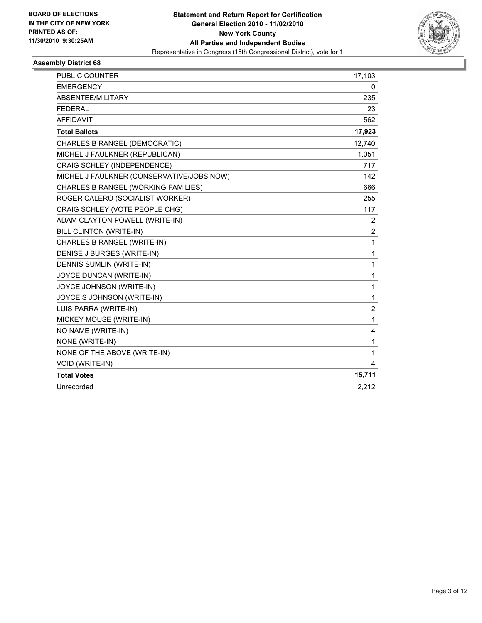

| PUBLIC COUNTER                            | 17,103         |
|-------------------------------------------|----------------|
| <b>EMERGENCY</b>                          | 0              |
| ABSENTEE/MILITARY                         | 235            |
| <b>FEDERAL</b>                            | 23             |
| <b>AFFIDAVIT</b>                          | 562            |
| <b>Total Ballots</b>                      | 17,923         |
| CHARLES B RANGEL (DEMOCRATIC)             | 12,740         |
| MICHEL J FAULKNER (REPUBLICAN)            | 1,051          |
| CRAIG SCHLEY (INDEPENDENCE)               | 717            |
| MICHEL J FAULKNER (CONSERVATIVE/JOBS NOW) | 142            |
| CHARLES B RANGEL (WORKING FAMILIES)       | 666            |
| ROGER CALERO (SOCIALIST WORKER)           | 255            |
| CRAIG SCHLEY (VOTE PEOPLE CHG)            | 117            |
| ADAM CLAYTON POWELL (WRITE-IN)            | 2              |
| BILL CLINTON (WRITE-IN)                   | $\overline{2}$ |
| CHARLES B RANGEL (WRITE-IN)               | $\mathbf{1}$   |
| DENISE J BURGES (WRITE-IN)                | $\mathbf{1}$   |
| DENNIS SUMLIN (WRITE-IN)                  | $\mathbf{1}$   |
| JOYCE DUNCAN (WRITE-IN)                   | 1              |
| JOYCE JOHNSON (WRITE-IN)                  | $\mathbf{1}$   |
| JOYCE S JOHNSON (WRITE-IN)                | $\mathbf{1}$   |
| LUIS PARRA (WRITE-IN)                     | 2              |
| MICKEY MOUSE (WRITE-IN)                   | $\mathbf{1}$   |
| NO NAME (WRITE-IN)                        | 4              |
| NONE (WRITE-IN)                           | 1              |
| NONE OF THE ABOVE (WRITE-IN)              | $\mathbf{1}$   |
| VOID (WRITE-IN)                           | 4              |
| <b>Total Votes</b>                        | 15,711         |
| Unrecorded                                | 2,212          |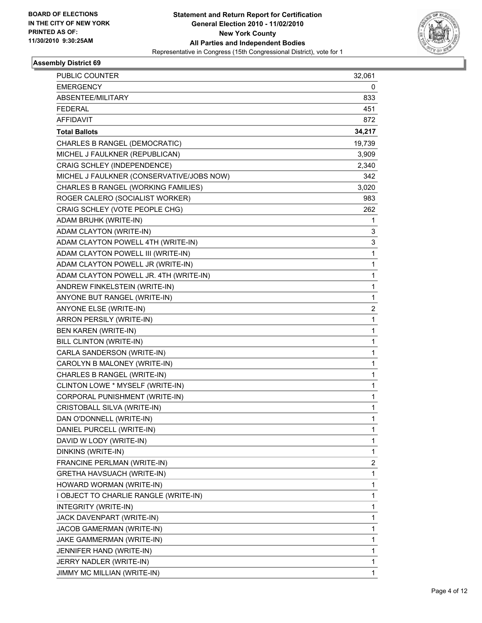

| PUBLIC COUNTER                            | 32,061       |
|-------------------------------------------|--------------|
| <b>EMERGENCY</b>                          | 0            |
| ABSENTEE/MILITARY                         | 833          |
| <b>FEDERAL</b>                            | 451          |
| <b>AFFIDAVIT</b>                          | 872          |
| <b>Total Ballots</b>                      | 34,217       |
| CHARLES B RANGEL (DEMOCRATIC)             | 19,739       |
| MICHEL J FAULKNER (REPUBLICAN)            | 3,909        |
| CRAIG SCHLEY (INDEPENDENCE)               | 2,340        |
| MICHEL J FAULKNER (CONSERVATIVE/JOBS NOW) | 342          |
| CHARLES B RANGEL (WORKING FAMILIES)       | 3,020        |
| ROGER CALERO (SOCIALIST WORKER)           | 983          |
| CRAIG SCHLEY (VOTE PEOPLE CHG)            | 262          |
| ADAM BRUHK (WRITE-IN)                     | 1            |
| ADAM CLAYTON (WRITE-IN)                   | 3            |
| ADAM CLAYTON POWELL 4TH (WRITE-IN)        | 3            |
| ADAM CLAYTON POWELL III (WRITE-IN)        | 1            |
| ADAM CLAYTON POWELL JR (WRITE-IN)         | 1            |
| ADAM CLAYTON POWELL JR. 4TH (WRITE-IN)    | 1            |
| ANDREW FINKELSTEIN (WRITE-IN)             | 1            |
| ANYONE BUT RANGEL (WRITE-IN)              | 1            |
| ANYONE ELSE (WRITE-IN)                    | 2            |
| ARRON PERSILY (WRITE-IN)                  | 1            |
| <b>BEN KAREN (WRITE-IN)</b>               | 1            |
| <b>BILL CLINTON (WRITE-IN)</b>            | 1            |
| CARLA SANDERSON (WRITE-IN)                | 1            |
| CAROLYN B MALONEY (WRITE-IN)              | 1            |
| CHARLES B RANGEL (WRITE-IN)               | 1            |
| CLINTON LOWE * MYSELF (WRITE-IN)          | 1            |
| CORPORAL PUNISHMENT (WRITE-IN)            | 1            |
| CRISTOBALL SILVA (WRITE-IN)               | 1            |
| DAN O'DONNELL (WRITE-IN)                  | 1            |
| DANIEL PURCELL (WRITE-IN)                 | 1            |
| DAVID W LODY (WRITE-IN)                   | 1            |
| DINKINS (WRITE-IN)                        | 1            |
| FRANCINE PERLMAN (WRITE-IN)               | 2            |
| GRETHA HAVSUACH (WRITE-IN)                | 1            |
| HOWARD WORMAN (WRITE-IN)                  | 1            |
| I OBJECT TO CHARLIE RANGLE (WRITE-IN)     | 1            |
| INTEGRITY (WRITE-IN)                      | 1            |
| JACK DAVENPART (WRITE-IN)                 | 1            |
| JACOB GAMERMAN (WRITE-IN)                 | 1            |
| JAKE GAMMERMAN (WRITE-IN)                 | 1            |
| JENNIFER HAND (WRITE-IN)                  | 1            |
| JERRY NADLER (WRITE-IN)                   | 1            |
| JIMMY MC MILLIAN (WRITE-IN)               | $\mathbf{1}$ |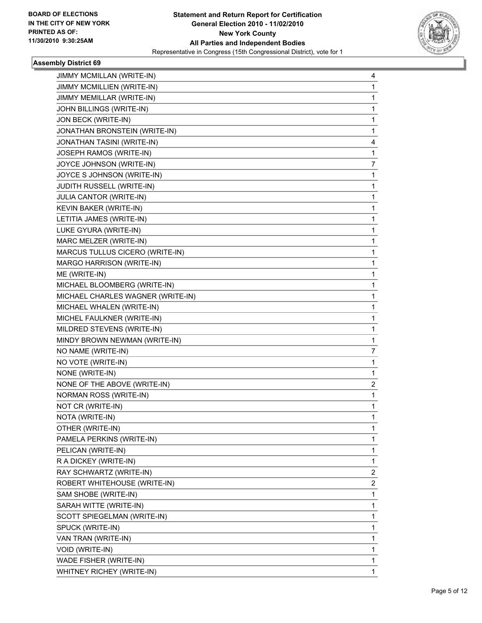

| JIMMY MCMILLAN (WRITE-IN)         | 4 |
|-----------------------------------|---|
| JIMMY MCMILLIEN (WRITE-IN)        | 1 |
| JIMMY MEMILLAR (WRITE-IN)         | 1 |
| JOHN BILLINGS (WRITE-IN)          | 1 |
| JON BECK (WRITE-IN)               | 1 |
| JONATHAN BRONSTEIN (WRITE-IN)     | 1 |
| JONATHAN TASINI (WRITE-IN)        | 4 |
| JOSEPH RAMOS (WRITE-IN)           | 1 |
| JOYCE JOHNSON (WRITE-IN)          | 7 |
| JOYCE S JOHNSON (WRITE-IN)        | 1 |
| JUDITH RUSSELL (WRITE-IN)         | 1 |
| JULIA CANTOR (WRITE-IN)           | 1 |
| KEVIN BAKER (WRITE-IN)            | 1 |
| LETITIA JAMES (WRITE-IN)          | 1 |
| LUKE GYURA (WRITE-IN)             | 1 |
| MARC MELZER (WRITE-IN)            | 1 |
| MARCUS TULLUS CICERO (WRITE-IN)   | 1 |
| MARGO HARRISON (WRITE-IN)         | 1 |
| ME (WRITE-IN)                     | 1 |
| MICHAEL BLOOMBERG (WRITE-IN)      | 1 |
| MICHAEL CHARLES WAGNER (WRITE-IN) | 1 |
| MICHAEL WHALEN (WRITE-IN)         | 1 |
| MICHEL FAULKNER (WRITE-IN)        | 1 |
| MILDRED STEVENS (WRITE-IN)        | 1 |
| MINDY BROWN NEWMAN (WRITE-IN)     | 1 |
| NO NAME (WRITE-IN)                | 7 |
| NO VOTE (WRITE-IN)                | 1 |
| NONE (WRITE-IN)                   | 1 |
| NONE OF THE ABOVE (WRITE-IN)      | 2 |
| NORMAN ROSS (WRITE-IN)            | 1 |
| NOT CR (WRITE-IN)                 | 1 |
| NOTA (WRITE-IN)                   | 1 |
| OTHER (WRITE-IN)                  | 1 |
| PAMELA PERKINS (WRITE-IN)         | 1 |
| PELICAN (WRITE-IN)                | 1 |
| R A DICKEY (WRITE-IN)             | 1 |
| RAY SCHWARTZ (WRITE-IN)           | 2 |
| ROBERT WHITEHOUSE (WRITE-IN)      | 2 |
| SAM SHOBE (WRITE-IN)              | 1 |
| SARAH WITTE (WRITE-IN)            | 1 |
| SCOTT SPIEGELMAN (WRITE-IN)       | 1 |
| SPUCK (WRITE-IN)                  | 1 |
| VAN TRAN (WRITE-IN)               | 1 |
| VOID (WRITE-IN)                   | 1 |
| WADE FISHER (WRITE-IN)            | 1 |
| WHITNEY RICHEY (WRITE-IN)         | 1 |
|                                   |   |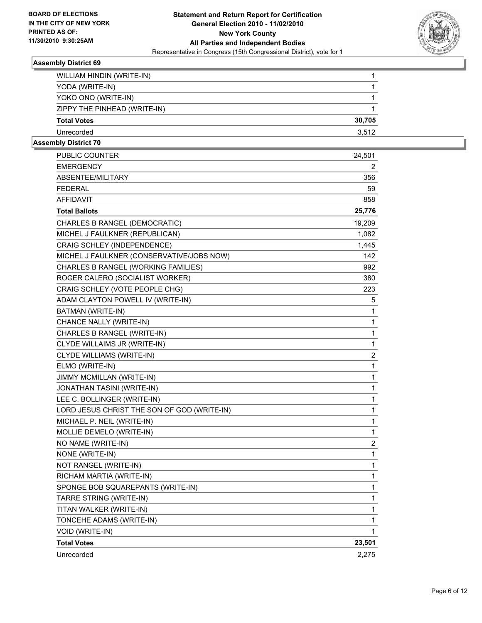

| WILLIAM HINDIN (WRITE-IN)    |        |
|------------------------------|--------|
| YODA (WRITE-IN)              |        |
| YOKO ONO (WRITE-IN)          |        |
| ZIPPY THE PINHEAD (WRITE-IN) |        |
| <b>Total Votes</b>           | 30,705 |
| Unrecorded                   | 3.512  |
|                              |        |

| PUBLIC COUNTER                              | 24,501         |
|---------------------------------------------|----------------|
| <b>EMERGENCY</b>                            | 2              |
| ABSENTEE/MILITARY                           | 356            |
| <b>FEDERAL</b>                              | 59             |
| <b>AFFIDAVIT</b>                            | 858            |
| <b>Total Ballots</b>                        | 25,776         |
| CHARLES B RANGEL (DEMOCRATIC)               | 19,209         |
| MICHEL J FAULKNER (REPUBLICAN)              | 1,082          |
| CRAIG SCHLEY (INDEPENDENCE)                 | 1,445          |
| MICHEL J FAULKNER (CONSERVATIVE/JOBS NOW)   | 142            |
| CHARLES B RANGEL (WORKING FAMILIES)         | 992            |
| ROGER CALERO (SOCIALIST WORKER)             | 380            |
| CRAIG SCHLEY (VOTE PEOPLE CHG)              | 223            |
| ADAM CLAYTON POWELL IV (WRITE-IN)           | 5              |
| BATMAN (WRITE-IN)                           | 1              |
| CHANCE NALLY (WRITE-IN)                     | 1              |
| CHARLES B RANGEL (WRITE-IN)                 | 1              |
| CLYDE WILLAIMS JR (WRITE-IN)                | 1              |
| CLYDE WILLIAMS (WRITE-IN)                   | $\overline{c}$ |
| ELMO (WRITE-IN)                             | 1              |
| JIMMY MCMILLAN (WRITE-IN)                   | 1              |
| JONATHAN TASINI (WRITE-IN)                  | 1              |
| LEE C. BOLLINGER (WRITE-IN)                 | 1              |
| LORD JESUS CHRIST THE SON OF GOD (WRITE-IN) | 1              |
| MICHAEL P. NEIL (WRITE-IN)                  | 1              |
| MOLLIE DEMELO (WRITE-IN)                    | 1              |
| NO NAME (WRITE-IN)                          | $\overline{c}$ |
| NONE (WRITE-IN)                             | 1              |
| NOT RANGEL (WRITE-IN)                       | 1              |
| RICHAM MARTIA (WRITE-IN)                    | 1              |
| SPONGE BOB SQUAREPANTS (WRITE-IN)           | 1              |
| TARRE STRING (WRITE-IN)                     | 1              |
| TITAN WALKER (WRITE-IN)                     | 1              |
| TONCEHE ADAMS (WRITE-IN)                    | 1              |
| VOID (WRITE-IN)                             | 1              |
| <b>Total Votes</b>                          | 23,501         |
| Unrecorded                                  | 2,275          |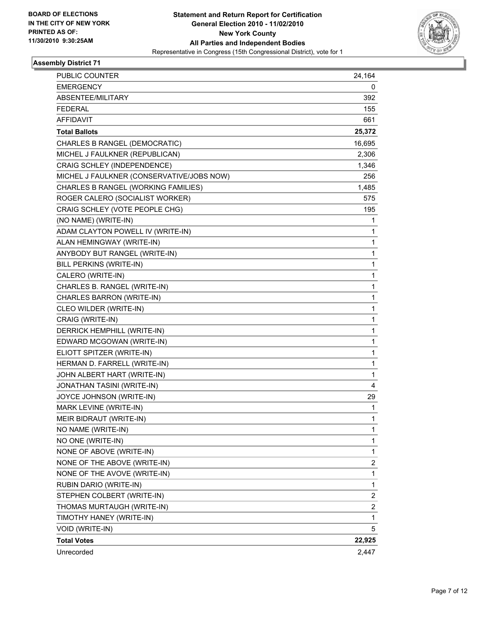

| <b>PUBLIC COUNTER</b>                     | 24,164       |
|-------------------------------------------|--------------|
| <b>EMERGENCY</b>                          | 0            |
| ABSENTEE/MILITARY                         | 392          |
| <b>FEDERAL</b>                            | 155          |
| <b>AFFIDAVIT</b>                          | 661          |
| <b>Total Ballots</b>                      | 25,372       |
| CHARLES B RANGEL (DEMOCRATIC)             | 16,695       |
| MICHEL J FAULKNER (REPUBLICAN)            | 2,306        |
| CRAIG SCHLEY (INDEPENDENCE)               | 1,346        |
| MICHEL J FAULKNER (CONSERVATIVE/JOBS NOW) | 256          |
| CHARLES B RANGEL (WORKING FAMILIES)       | 1,485        |
| ROGER CALERO (SOCIALIST WORKER)           | 575          |
| CRAIG SCHLEY (VOTE PEOPLE CHG)            | 195          |
| (NO NAME) (WRITE-IN)                      | 1            |
| ADAM CLAYTON POWELL IV (WRITE-IN)         | 1            |
| ALAN HEMINGWAY (WRITE-IN)                 | 1            |
| ANYBODY BUT RANGEL (WRITE-IN)             | 1            |
| BILL PERKINS (WRITE-IN)                   | $\mathbf{1}$ |
| CALERO (WRITE-IN)                         | 1            |
| CHARLES B. RANGEL (WRITE-IN)              | 1            |
| CHARLES BARRON (WRITE-IN)                 | $\mathbf{1}$ |
| CLEO WILDER (WRITE-IN)                    | 1            |
| CRAIG (WRITE-IN)                          | 1            |
| DERRICK HEMPHILL (WRITE-IN)               | $\mathbf{1}$ |
| EDWARD MCGOWAN (WRITE-IN)                 | 1            |
| ELIOTT SPITZER (WRITE-IN)                 | 1            |
| HERMAN D. FARRELL (WRITE-IN)              | $\mathbf{1}$ |
| JOHN ALBERT HART (WRITE-IN)               | 1            |
| <b>JONATHAN TASINI (WRITE-IN)</b>         | 4            |
| JOYCE JOHNSON (WRITE-IN)                  | 29           |
| MARK LEVINE (WRITE-IN)                    | 1            |
| MEIR BIDRAUT (WRITE-IN)                   | 1            |
| NO NAME (WRITE-IN)                        | 1            |
| NO ONE (WRITE-IN)                         | 1            |
| NONE OF ABOVE (WRITE-IN)                  | 1            |
| NONE OF THE ABOVE (WRITE-IN)              | 2            |
| NONE OF THE AVOVE (WRITE-IN)              | 1            |
| RUBIN DARIO (WRITE-IN)                    | 1            |
| STEPHEN COLBERT (WRITE-IN)                | 2            |
| THOMAS MURTAUGH (WRITE-IN)                | 2            |
| TIMOTHY HANEY (WRITE-IN)                  | 1            |
| VOID (WRITE-IN)                           | 5            |
| <b>Total Votes</b>                        | 22,925       |
| Unrecorded                                | 2,447        |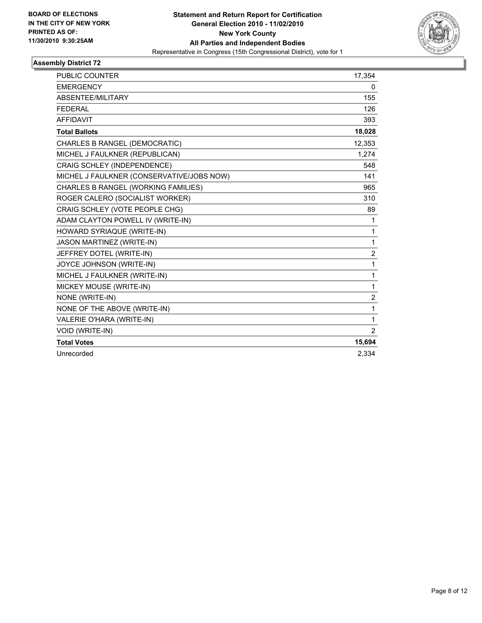

| <b>PUBLIC COUNTER</b>                     | 17,354         |
|-------------------------------------------|----------------|
| <b>EMERGENCY</b>                          | 0              |
| ABSENTEE/MILITARY                         | 155            |
| <b>FEDERAL</b>                            | 126            |
| <b>AFFIDAVIT</b>                          | 393            |
| <b>Total Ballots</b>                      | 18,028         |
| CHARLES B RANGEL (DEMOCRATIC)             | 12,353         |
| MICHEL J FAULKNER (REPUBLICAN)            | 1,274          |
| CRAIG SCHLEY (INDEPENDENCE)               | 548            |
| MICHEL J FAULKNER (CONSERVATIVE/JOBS NOW) | 141            |
| CHARLES B RANGEL (WORKING FAMILIES)       | 965            |
| ROGER CALERO (SOCIALIST WORKER)           | 310            |
| CRAIG SCHLEY (VOTE PEOPLE CHG)            | 89             |
| ADAM CLAYTON POWELL IV (WRITE-IN)         | 1              |
| HOWARD SYRIAQUE (WRITE-IN)                | $\mathbf{1}$   |
| <b>JASON MARTINEZ (WRITE-IN)</b>          | $\mathbf{1}$   |
| JEFFREY DOTEL (WRITE-IN)                  | $\overline{2}$ |
| JOYCE JOHNSON (WRITE-IN)                  | 1              |
| MICHEL J FAULKNER (WRITE-IN)              | $\mathbf{1}$   |
| MICKEY MOUSE (WRITE-IN)                   | 1              |
| NONE (WRITE-IN)                           | 2              |
| NONE OF THE ABOVE (WRITE-IN)              | 1              |
| VALERIE O'HARA (WRITE-IN)                 | 1              |
| VOID (WRITE-IN)                           | $\overline{2}$ |
| <b>Total Votes</b>                        | 15,694         |
| Unrecorded                                | 2.334          |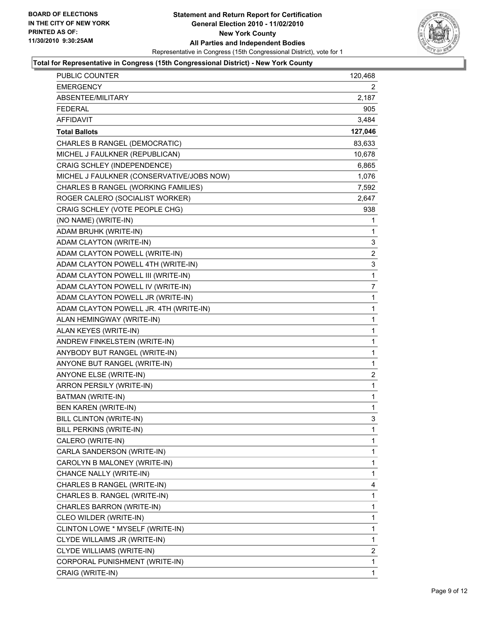

| PUBLIC COUNTER                            | 120,468        |
|-------------------------------------------|----------------|
| EMERGENCY                                 | 2              |
| ABSENTEE/MILITARY                         | 2,187          |
| <b>FEDERAL</b>                            | 905            |
| <b>AFFIDAVIT</b>                          | 3,484          |
| <b>Total Ballots</b>                      | 127,046        |
| CHARLES B RANGEL (DEMOCRATIC)             | 83,633         |
| MICHEL J FAULKNER (REPUBLICAN)            | 10,678         |
| CRAIG SCHLEY (INDEPENDENCE)               | 6,865          |
| MICHEL J FAULKNER (CONSERVATIVE/JOBS NOW) | 1,076          |
| CHARLES B RANGEL (WORKING FAMILIES)       | 7,592          |
| ROGER CALERO (SOCIALIST WORKER)           | 2,647          |
| CRAIG SCHLEY (VOTE PEOPLE CHG)            | 938            |
| (NO NAME) (WRITE-IN)                      | 1              |
| ADAM BRUHK (WRITE-IN)                     | 1              |
| ADAM CLAYTON (WRITE-IN)                   | 3              |
| ADAM CLAYTON POWELL (WRITE-IN)            | 2              |
| ADAM CLAYTON POWELL 4TH (WRITE-IN)        | 3              |
| ADAM CLAYTON POWELL III (WRITE-IN)        | 1              |
| ADAM CLAYTON POWELL IV (WRITE-IN)         | 7              |
| ADAM CLAYTON POWELL JR (WRITE-IN)         | 1              |
| ADAM CLAYTON POWELL JR. 4TH (WRITE-IN)    | 1              |
| ALAN HEMINGWAY (WRITE-IN)                 | $\mathbf{1}$   |
| ALAN KEYES (WRITE-IN)                     | $\mathbf{1}$   |
| ANDREW FINKELSTEIN (WRITE-IN)             | 1              |
| ANYBODY BUT RANGEL (WRITE-IN)             | $\mathbf{1}$   |
| ANYONE BUT RANGEL (WRITE-IN)              | 1              |
| ANYONE ELSE (WRITE-IN)                    | $\overline{c}$ |
| ARRON PERSILY (WRITE-IN)                  | 1              |
| BATMAN (WRITE-IN)                         | $\mathbf{1}$   |
| <b>BEN KAREN (WRITE-IN)</b>               | 1              |
| BILL CLINTON (WRITE-IN)                   | 3              |
| BILL PERKINS (WRITE-IN)                   | 1              |
| CALERO (WRITE-IN)                         | 1              |
| CARLA SANDERSON (WRITE-IN)                | 1              |
| CAROLYN B MALONEY (WRITE-IN)              | 1              |
| CHANCE NALLY (WRITE-IN)                   | 1              |
| CHARLES B RANGEL (WRITE-IN)               | 4              |
| CHARLES B. RANGEL (WRITE-IN)              | 1              |
| CHARLES BARRON (WRITE-IN)                 | 1              |
| CLEO WILDER (WRITE-IN)                    | 1              |
| CLINTON LOWE * MYSELF (WRITE-IN)          | 1              |
| CLYDE WILLAIMS JR (WRITE-IN)              | 1              |
| CLYDE WILLIAMS (WRITE-IN)                 | 2              |
| CORPORAL PUNISHMENT (WRITE-IN)            | 1              |
| CRAIG (WRITE-IN)                          | 1              |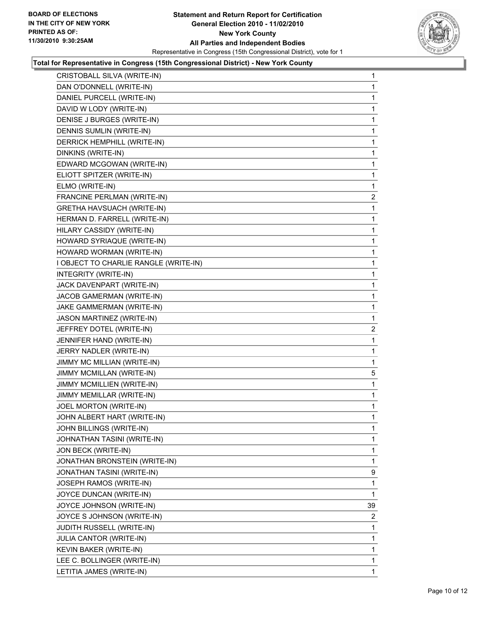

| DAN O'DONNELL (WRITE-IN)<br>DANIEL PURCELL (WRITE-IN)<br>DAVID W LODY (WRITE-IN)<br>DENISE J BURGES (WRITE-IN)<br>DENNIS SUMLIN (WRITE-IN)<br>DERRICK HEMPHILL (WRITE-IN)<br>DINKINS (WRITE-IN)<br>EDWARD MCGOWAN (WRITE-IN)<br>ELIOTT SPITZER (WRITE-IN)<br>ELMO (WRITE-IN)<br>FRANCINE PERLMAN (WRITE-IN)<br>GRETHA HAVSUACH (WRITE-IN)<br>HERMAN D. FARRELL (WRITE-IN)<br>HILARY CASSIDY (WRITE-IN)<br>HOWARD SYRIAQUE (WRITE-IN)<br>HOWARD WORMAN (WRITE-IN)<br>I OBJECT TO CHARLIE RANGLE (WRITE-IN)<br>INTEGRITY (WRITE-IN)<br>JACK DAVENPART (WRITE-IN)<br>JACOB GAMERMAN (WRITE-IN)<br>JAKE GAMMERMAN (WRITE-IN)<br>JASON MARTINEZ (WRITE-IN)<br>JEFFREY DOTEL (WRITE-IN)<br>JENNIFER HAND (WRITE-IN)<br>JERRY NADLER (WRITE-IN)<br>JIMMY MC MILLIAN (WRITE-IN)<br>JIMMY MCMILLAN (WRITE-IN)<br>JIMMY MCMILLIEN (WRITE-IN)<br>JIMMY MEMILLAR (WRITE-IN)<br>JOEL MORTON (WRITE-IN)<br>JOHN ALBERT HART (WRITE-IN)<br>JOHN BILLINGS (WRITE-IN)<br>JOHNATHAN TASINI (WRITE-IN)<br>JON BECK (WRITE-IN)<br>JONATHAN BRONSTEIN (WRITE-IN)<br>JONATHAN TASINI (WRITE-IN)<br>JOSEPH RAMOS (WRITE-IN)<br>JOYCE DUNCAN (WRITE-IN)<br>JOYCE JOHNSON (WRITE-IN)<br>JOYCE S JOHNSON (WRITE-IN)<br>JUDITH RUSSELL (WRITE-IN)<br>JULIA CANTOR (WRITE-IN)<br>KEVIN BAKER (WRITE-IN)<br>LEE C. BOLLINGER (WRITE-IN) | CRISTOBALL SILVA (WRITE-IN) | 1            |
|------------------------------------------------------------------------------------------------------------------------------------------------------------------------------------------------------------------------------------------------------------------------------------------------------------------------------------------------------------------------------------------------------------------------------------------------------------------------------------------------------------------------------------------------------------------------------------------------------------------------------------------------------------------------------------------------------------------------------------------------------------------------------------------------------------------------------------------------------------------------------------------------------------------------------------------------------------------------------------------------------------------------------------------------------------------------------------------------------------------------------------------------------------------------------------------------------------------------------------------------------------------------------------------------------------|-----------------------------|--------------|
|                                                                                                                                                                                                                                                                                                                                                                                                                                                                                                                                                                                                                                                                                                                                                                                                                                                                                                                                                                                                                                                                                                                                                                                                                                                                                                            |                             | 1            |
|                                                                                                                                                                                                                                                                                                                                                                                                                                                                                                                                                                                                                                                                                                                                                                                                                                                                                                                                                                                                                                                                                                                                                                                                                                                                                                            |                             | 1            |
|                                                                                                                                                                                                                                                                                                                                                                                                                                                                                                                                                                                                                                                                                                                                                                                                                                                                                                                                                                                                                                                                                                                                                                                                                                                                                                            |                             | 1            |
|                                                                                                                                                                                                                                                                                                                                                                                                                                                                                                                                                                                                                                                                                                                                                                                                                                                                                                                                                                                                                                                                                                                                                                                                                                                                                                            |                             | 1            |
|                                                                                                                                                                                                                                                                                                                                                                                                                                                                                                                                                                                                                                                                                                                                                                                                                                                                                                                                                                                                                                                                                                                                                                                                                                                                                                            |                             | 1            |
|                                                                                                                                                                                                                                                                                                                                                                                                                                                                                                                                                                                                                                                                                                                                                                                                                                                                                                                                                                                                                                                                                                                                                                                                                                                                                                            |                             | 1            |
|                                                                                                                                                                                                                                                                                                                                                                                                                                                                                                                                                                                                                                                                                                                                                                                                                                                                                                                                                                                                                                                                                                                                                                                                                                                                                                            |                             | 1            |
|                                                                                                                                                                                                                                                                                                                                                                                                                                                                                                                                                                                                                                                                                                                                                                                                                                                                                                                                                                                                                                                                                                                                                                                                                                                                                                            |                             | 1            |
|                                                                                                                                                                                                                                                                                                                                                                                                                                                                                                                                                                                                                                                                                                                                                                                                                                                                                                                                                                                                                                                                                                                                                                                                                                                                                                            |                             | 1            |
|                                                                                                                                                                                                                                                                                                                                                                                                                                                                                                                                                                                                                                                                                                                                                                                                                                                                                                                                                                                                                                                                                                                                                                                                                                                                                                            |                             | 1            |
|                                                                                                                                                                                                                                                                                                                                                                                                                                                                                                                                                                                                                                                                                                                                                                                                                                                                                                                                                                                                                                                                                                                                                                                                                                                                                                            |                             | 2            |
|                                                                                                                                                                                                                                                                                                                                                                                                                                                                                                                                                                                                                                                                                                                                                                                                                                                                                                                                                                                                                                                                                                                                                                                                                                                                                                            |                             | 1            |
|                                                                                                                                                                                                                                                                                                                                                                                                                                                                                                                                                                                                                                                                                                                                                                                                                                                                                                                                                                                                                                                                                                                                                                                                                                                                                                            |                             | 1            |
|                                                                                                                                                                                                                                                                                                                                                                                                                                                                                                                                                                                                                                                                                                                                                                                                                                                                                                                                                                                                                                                                                                                                                                                                                                                                                                            |                             | 1            |
|                                                                                                                                                                                                                                                                                                                                                                                                                                                                                                                                                                                                                                                                                                                                                                                                                                                                                                                                                                                                                                                                                                                                                                                                                                                                                                            |                             | 1            |
|                                                                                                                                                                                                                                                                                                                                                                                                                                                                                                                                                                                                                                                                                                                                                                                                                                                                                                                                                                                                                                                                                                                                                                                                                                                                                                            |                             | 1            |
|                                                                                                                                                                                                                                                                                                                                                                                                                                                                                                                                                                                                                                                                                                                                                                                                                                                                                                                                                                                                                                                                                                                                                                                                                                                                                                            |                             | 1            |
|                                                                                                                                                                                                                                                                                                                                                                                                                                                                                                                                                                                                                                                                                                                                                                                                                                                                                                                                                                                                                                                                                                                                                                                                                                                                                                            |                             | 1            |
|                                                                                                                                                                                                                                                                                                                                                                                                                                                                                                                                                                                                                                                                                                                                                                                                                                                                                                                                                                                                                                                                                                                                                                                                                                                                                                            |                             | 1            |
|                                                                                                                                                                                                                                                                                                                                                                                                                                                                                                                                                                                                                                                                                                                                                                                                                                                                                                                                                                                                                                                                                                                                                                                                                                                                                                            |                             | 1            |
|                                                                                                                                                                                                                                                                                                                                                                                                                                                                                                                                                                                                                                                                                                                                                                                                                                                                                                                                                                                                                                                                                                                                                                                                                                                                                                            |                             | 1            |
|                                                                                                                                                                                                                                                                                                                                                                                                                                                                                                                                                                                                                                                                                                                                                                                                                                                                                                                                                                                                                                                                                                                                                                                                                                                                                                            |                             | 1            |
|                                                                                                                                                                                                                                                                                                                                                                                                                                                                                                                                                                                                                                                                                                                                                                                                                                                                                                                                                                                                                                                                                                                                                                                                                                                                                                            |                             | 2            |
|                                                                                                                                                                                                                                                                                                                                                                                                                                                                                                                                                                                                                                                                                                                                                                                                                                                                                                                                                                                                                                                                                                                                                                                                                                                                                                            |                             | 1            |
|                                                                                                                                                                                                                                                                                                                                                                                                                                                                                                                                                                                                                                                                                                                                                                                                                                                                                                                                                                                                                                                                                                                                                                                                                                                                                                            |                             | 1            |
|                                                                                                                                                                                                                                                                                                                                                                                                                                                                                                                                                                                                                                                                                                                                                                                                                                                                                                                                                                                                                                                                                                                                                                                                                                                                                                            |                             | 1            |
|                                                                                                                                                                                                                                                                                                                                                                                                                                                                                                                                                                                                                                                                                                                                                                                                                                                                                                                                                                                                                                                                                                                                                                                                                                                                                                            |                             | 5            |
|                                                                                                                                                                                                                                                                                                                                                                                                                                                                                                                                                                                                                                                                                                                                                                                                                                                                                                                                                                                                                                                                                                                                                                                                                                                                                                            |                             | 1            |
|                                                                                                                                                                                                                                                                                                                                                                                                                                                                                                                                                                                                                                                                                                                                                                                                                                                                                                                                                                                                                                                                                                                                                                                                                                                                                                            |                             | 1            |
|                                                                                                                                                                                                                                                                                                                                                                                                                                                                                                                                                                                                                                                                                                                                                                                                                                                                                                                                                                                                                                                                                                                                                                                                                                                                                                            |                             | 1            |
|                                                                                                                                                                                                                                                                                                                                                                                                                                                                                                                                                                                                                                                                                                                                                                                                                                                                                                                                                                                                                                                                                                                                                                                                                                                                                                            |                             | 1            |
|                                                                                                                                                                                                                                                                                                                                                                                                                                                                                                                                                                                                                                                                                                                                                                                                                                                                                                                                                                                                                                                                                                                                                                                                                                                                                                            |                             | 1            |
|                                                                                                                                                                                                                                                                                                                                                                                                                                                                                                                                                                                                                                                                                                                                                                                                                                                                                                                                                                                                                                                                                                                                                                                                                                                                                                            |                             | 1            |
|                                                                                                                                                                                                                                                                                                                                                                                                                                                                                                                                                                                                                                                                                                                                                                                                                                                                                                                                                                                                                                                                                                                                                                                                                                                                                                            |                             | 1            |
|                                                                                                                                                                                                                                                                                                                                                                                                                                                                                                                                                                                                                                                                                                                                                                                                                                                                                                                                                                                                                                                                                                                                                                                                                                                                                                            |                             | 1            |
|                                                                                                                                                                                                                                                                                                                                                                                                                                                                                                                                                                                                                                                                                                                                                                                                                                                                                                                                                                                                                                                                                                                                                                                                                                                                                                            |                             | 9            |
|                                                                                                                                                                                                                                                                                                                                                                                                                                                                                                                                                                                                                                                                                                                                                                                                                                                                                                                                                                                                                                                                                                                                                                                                                                                                                                            |                             | 1            |
|                                                                                                                                                                                                                                                                                                                                                                                                                                                                                                                                                                                                                                                                                                                                                                                                                                                                                                                                                                                                                                                                                                                                                                                                                                                                                                            |                             | 1            |
|                                                                                                                                                                                                                                                                                                                                                                                                                                                                                                                                                                                                                                                                                                                                                                                                                                                                                                                                                                                                                                                                                                                                                                                                                                                                                                            |                             | 39           |
|                                                                                                                                                                                                                                                                                                                                                                                                                                                                                                                                                                                                                                                                                                                                                                                                                                                                                                                                                                                                                                                                                                                                                                                                                                                                                                            |                             | 2            |
|                                                                                                                                                                                                                                                                                                                                                                                                                                                                                                                                                                                                                                                                                                                                                                                                                                                                                                                                                                                                                                                                                                                                                                                                                                                                                                            |                             | 1            |
|                                                                                                                                                                                                                                                                                                                                                                                                                                                                                                                                                                                                                                                                                                                                                                                                                                                                                                                                                                                                                                                                                                                                                                                                                                                                                                            |                             | 1            |
|                                                                                                                                                                                                                                                                                                                                                                                                                                                                                                                                                                                                                                                                                                                                                                                                                                                                                                                                                                                                                                                                                                                                                                                                                                                                                                            |                             | 1            |
|                                                                                                                                                                                                                                                                                                                                                                                                                                                                                                                                                                                                                                                                                                                                                                                                                                                                                                                                                                                                                                                                                                                                                                                                                                                                                                            |                             | 1            |
|                                                                                                                                                                                                                                                                                                                                                                                                                                                                                                                                                                                                                                                                                                                                                                                                                                                                                                                                                                                                                                                                                                                                                                                                                                                                                                            | LETITIA JAMES (WRITE-IN)    | $\mathbf{1}$ |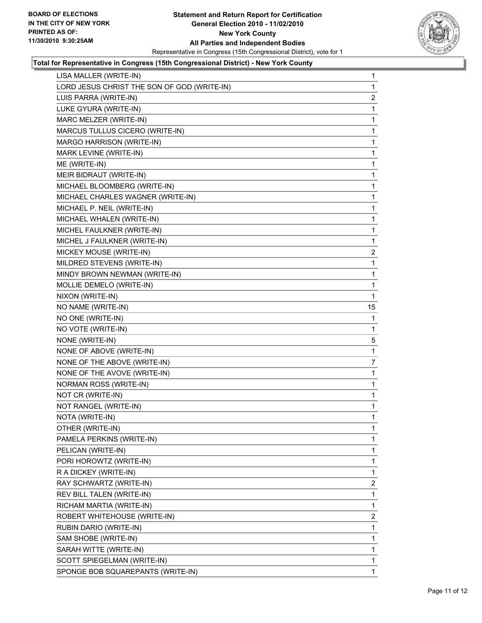

| LISA MALLER (WRITE-IN)                      | 1              |
|---------------------------------------------|----------------|
| LORD JESUS CHRIST THE SON OF GOD (WRITE-IN) | 1              |
| LUIS PARRA (WRITE-IN)                       | 2              |
| LUKE GYURA (WRITE-IN)                       | 1              |
| MARC MELZER (WRITE-IN)                      | 1              |
| MARCUS TULLUS CICERO (WRITE-IN)             | 1              |
| MARGO HARRISON (WRITE-IN)                   | 1              |
| MARK LEVINE (WRITE-IN)                      | 1              |
| ME (WRITE-IN)                               | 1              |
| MEIR BIDRAUT (WRITE-IN)                     | 1              |
| MICHAEL BLOOMBERG (WRITE-IN)                | 1              |
| MICHAEL CHARLES WAGNER (WRITE-IN)           | 1              |
| MICHAEL P. NEIL (WRITE-IN)                  | 1              |
| MICHAEL WHALEN (WRITE-IN)                   | 1              |
| MICHEL FAULKNER (WRITE-IN)                  | 1              |
| MICHEL J FAULKNER (WRITE-IN)                | 1              |
| MICKEY MOUSE (WRITE-IN)                     | 2              |
| MILDRED STEVENS (WRITE-IN)                  | 1              |
| MINDY BROWN NEWMAN (WRITE-IN)               | 1              |
| MOLLIE DEMELO (WRITE-IN)                    | 1              |
| NIXON (WRITE-IN)                            | 1              |
| NO NAME (WRITE-IN)                          | 15             |
| NO ONE (WRITE-IN)                           | 1              |
| NO VOTE (WRITE-IN)                          | 1              |
| NONE (WRITE-IN)                             | 5              |
| NONE OF ABOVE (WRITE-IN)                    | 1              |
| NONE OF THE ABOVE (WRITE-IN)                | 7              |
| NONE OF THE AVOVE (WRITE-IN)                | 1              |
| NORMAN ROSS (WRITE-IN)                      | 1              |
| NOT CR (WRITE-IN)                           | 1              |
| NOT RANGEL (WRITE-IN)                       | 1              |
| NOTA (WRITE-IN)                             | 1              |
| OTHER (WRITE-IN)                            | 1              |
| PAMELA PERKINS (WRITE-IN)                   | 1              |
| PELICAN (WRITE-IN)                          | 1              |
| PORI HOROWTZ (WRITE-IN)                     | 1              |
| R A DICKEY (WRITE-IN)                       | 1              |
| RAY SCHWARTZ (WRITE-IN)                     | 2              |
| REV BILL TALEN (WRITE-IN)                   | 1              |
| RICHAM MARTIA (WRITE-IN)                    | 1              |
| ROBERT WHITEHOUSE (WRITE-IN)                | $\overline{2}$ |
| RUBIN DARIO (WRITE-IN)                      | 1              |
| SAM SHOBE (WRITE-IN)                        | 1              |
| SARAH WITTE (WRITE-IN)                      | 1              |
| SCOTT SPIEGELMAN (WRITE-IN)                 | 1              |
| SPONGE BOB SQUAREPANTS (WRITE-IN)           | 1              |
|                                             |                |